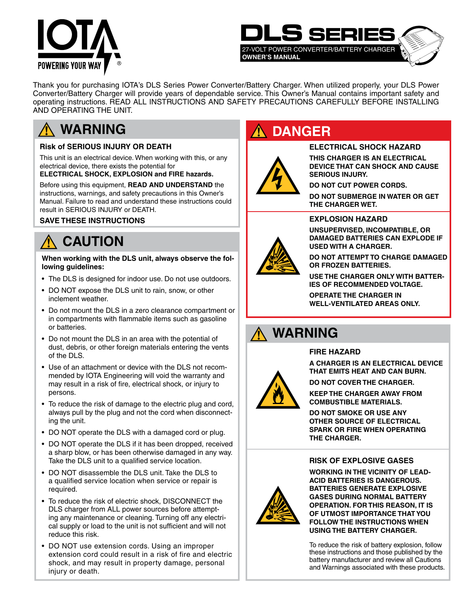



Thank you for purchasing IOTA's DLS Series Power Converter/Battery Charger. When utilized properly, your DLS Power Converter/Battery Charger will provide years of dependable service. This Owner's Manual contains important safety and operating instructions. READ ALL INSTRUCTIONS AND SAFETY PRECAUTIONS CAREFULLY BEFORE INSTALLING AND OPERATING THE UNIT.

## **WARNING**

#### **Risk of SERIOUS INJURY OR DEATH**

This unit is an electrical device. When working with this, or any electrical device, there exists the potential for

#### **ELECTRICAL SHOCK, EXPLOSION and FIRE hazards.**

Before using this equipment, **READ AND UNDERSTAND** the instructions, warnings, and safety precautions in this Owner's Manual. Failure to read and understand these instructions could result in SERIOUS INJURY or DEATH.

#### **SAVE THESE INSTRUCTIONS**

## **CAUTION**

**When working with the DLS unit, always observe the following guidelines:**

- The DLS is designed for indoor use. Do not use outdoors.
- DO NOT expose the DLS unit to rain, snow, or other inclement weather.
- Do not mount the DLS in a zero clearance compartment or in compartments with flammable items such as gasoline or batteries.
- Do not mount the DLS in an area with the potential of dust, debris, or other foreign materials entering the vents of the DLS.
- Use of an attachment or device with the DLS not recommended by IOTA Engineering will void the warranty and may result in a risk of fire, electrical shock, or injury to persons.
- To reduce the risk of damage to the electric plug and cord, always pull by the plug and not the cord when disconnecting the unit.
- DO NOT operate the DLS with a damaged cord or plug.
- DO NOT operate the DLS if it has been dropped, received a sharp blow, or has been otherwise damaged in any way. Take the DLS unit to a qualified service location.
- DO NOT disassemble the DLS unit. Take the DLS to a qualified service location when service or repair is required.
- To reduce the risk of electric shock, DISCONNECT the DLS charger from ALL power sources before attempting any maintenance or cleaning. Turning off any electrical supply or load to the unit is not sufficient and will not reduce this risk.
- DO NOT use extension cords. Using an improper extension cord could result in a risk of fire and electric shock, and may result in property damage, personal injury or death.

## **DANGER**

#### **ELECTRICAL SHOCK HAZARD**

**THIS CHARGER IS AN ELECTRICAL DEVICE THAT CAN SHOCK AND CAUSE SERIOUS INJURY.**

**DO NOT CUT POWER CORDS.**

**DO NOT SUBMERGE IN WATER OR GET THE CHARGER WET.**

#### **EXPLOSION HAZARD**

**UNSUPERVISED, INCOMPATIBLE, OR DAMAGED BATTERIES CAN EXPLODE IF USED WITH A CHARGER.**

**DO NOT ATTEMPT TO CHARGE DAMAGED OR FROZEN BATTERIES.**

**USE THE CHARGER ONLY WITH BATTER-IES OF RECOMMENDED VOLTAGE.**

**OPERATE THE CHARGER IN WELL-VENTILATED AREAS ONLY.**

## **WARNING**

#### **FIRE HAZARD**

**A CHARGER IS AN ELECTRICAL DEVICE THAT EMITS HEAT AND CAN BURN.**

**DO NOT COVER THE CHARGER.**

**KEEP THE CHARGER AWAY FROM COMBUSTIBLE MATERIALS.**

**DO NOT SMOKE OR USE ANY OTHER SOURCE OF ELECTRICAL SPARK OR FIRE WHEN OPERATING THE CHARGER.**

#### **RISK OF EXPLOSIVE GASES**



**WORKING IN THE VICINITY OF LEAD-ACID BATTERIES IS DANGEROUS. BATTERIES GENERATE EXPLOSIVE GASES DURING NORMAL BATTERY OPERATION. FOR THIS REASON, IT IS OF UTMOST IMPORTANCE THAT YOU FOLLOW THE INSTRUCTIONS WHEN USING THE BATTERY CHARGER.**

To reduce the risk of battery explosion, follow these instructions and those published by the battery manufacturer and review all Cautions and Warnings associated with these products.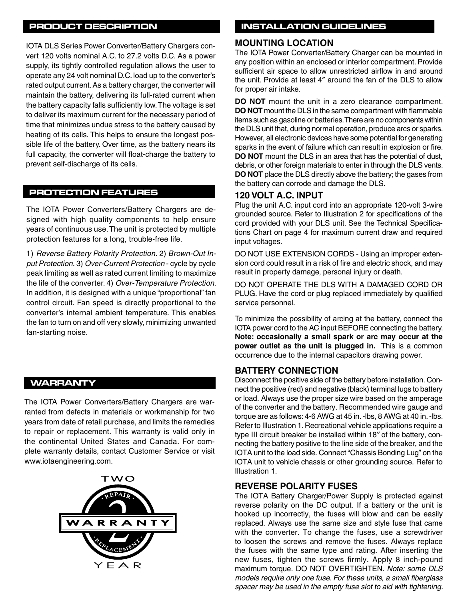#### **PRODUCT DESCRIPTION**

IOTA DLS Series Power Converter/Battery Chargers convert 120 volts nominal A.C. to 27.2 volts D.C. As a power supply, its tightly controlled regulation allows the user to operate any 24 volt nominal D.C. load up to the converter's rated output current. As a battery charger, the converter will maintain the battery, delivering its full-rated current when the battery capacity falls sufficiently low. The voltage is set to deliver its maximum current for the necessary period of time that minimizes undue stress to the battery caused by heating of its cells. This helps to ensure the longest possible life of the battery. Over time, as the battery nears its full capacity, the converter will float-charge the battery to prevent self-discharge of its cells.

#### **PROTECTION FEATURES**

The IOTA Power Converters/Battery Chargers are designed with high quality components to help ensure years of continuous use. The unit is protected by multiple protection features for a long, trouble-free life.

1) *Reverse Battery Polarity Protection.* 2) *Brown-Out Input Protection.* 3) *Over-Current Protection* - cycle by cycle peak limiting as well as rated current limiting to maximize the life of the converter. 4) *Over-Temperature Protection.*  In addition, it is designed with a unique "proportional" fan control circuit. Fan speed is directly proportional to the converter's internal ambient temperature. This enables the fan to turn on and off very slowly, minimizing unwanted fan-starting noise.

#### **WARRANTY**

The IOTA Power Converters/Battery Chargers are warranted from defects in materials or workmanship for two years from date of retail purchase, and limits the remedies to repair or replacement. This warranty is valid only in the continental United States and Canada. For complete warranty details, contact Customer Service or visit www.iotaengineering.com.



#### **INSTALLATION GUIDELINES**

#### **MOUNTING LOCATION**

The IOTA Power Converter/Battery Charger can be mounted in any position within an enclosed or interior compartment. Provide sufficient air space to allow unrestricted airflow in and around the unit. Provide at least 4″ around the fan of the DLS to allow for proper air intake.

**DO NOT** mount the unit in a zero clearance compartment. **DO NOT** mount the DLS in the same compartment with flammable items such as gasoline or batteries. There are no components within the DLS unit that, during normal operation, produce arcs or sparks. However, all electronic devices have some potential for generating sparks in the event of failure which can result in explosion or fire. **DO NOT** mount the DLS in an area that has the potential of dust, debris, or other foreign materials to enter in through the DLS vents. **DO NOT** place the DLS directly above the battery; the gases from the battery can corrode and damage the DLS.

#### **120 VOLT A.C. INPUT**

Plug the unit A.C. input cord into an appropriate 120-volt 3-wire grounded source. Refer to Illustration 2 for specifications of the cord provided with your DLS unit. See the Technical Specifications Chart on page 4 for maximum current draw and required input voltages.

DO NOT USE EXTENSION CORDS - Using an improper extension cord could result in a risk of fire and electric shock, and may result in property damage, personal injury or death.

DO NOT OPERATE THE DLS WITH A DAMAGED CORD OR PLUG. Have the cord or plug replaced immediately by qualified service personnel.

To minimize the possibility of arcing at the battery, connect the IOTA power cord to the AC input BEFORE connecting the battery. **Note: occasionally a small spark or arc may occur at the power outlet as the unit is plugged in.** This is a common occurrence due to the internal capacitors drawing power.

#### **BATTERY CONNECTION**

Disconnect the positive side of the battery before installation. Connect the positive (red) and negative (black) terminal lugs to battery or load. Always use the proper size wire based on the amperage of the converter and the battery. Recommended wire gauge and torque are as follows: 4-6 AWG at 45 in. -lbs, 8 AWG at 40 in. -lbs. Refer to Illustration 1. Recreational vehicle applications require a type III circuit breaker be installed within 18″ of the battery, connecting the battery positive to the line side of the breaker, and the IOTA unit to the load side. Connect "Chassis Bonding Lug" on the IOTA unit to vehicle chassis or other grounding source. Refer to Illustration 1.

#### **REVERSE POLARITY FUSES**

The IOTA Battery Charger/Power Supply is protected against reverse polarity on the DC output. If a battery or the unit is hooked up incorrectly, the fuses will blow and can be easily replaced. Always use the same size and style fuse that came with the converter. To change the fuses, use a screwdriver to loosen the screws and remove the fuses. Always replace the fuses with the same type and rating. After inserting the new fuses, tighten the screws firmly. Apply 8 inch-pound maximum torque. DO NOT OVERTIGHTEN. *Note: some DLS models require only one fuse. For these units, a small fiberglass spacer may be used in the empty fuse slot to aid with tightening.*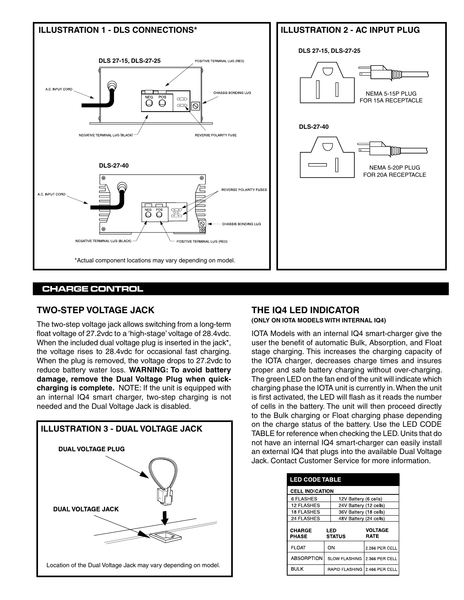



#### **CHARGE CONTROL**

#### **TWO-STEP VOLTAGE JACK**

The two-step voltage jack allows switching from a long-term float voltage of 27.2vdc to a 'high-stage' voltage of 28.4vdc. When the included dual voltage plug is inserted in the jack\*, the voltage rises to 28.4vdc for occasional fast charging. When the plug is removed, the voltage drops to 27.2vdc to reduce battery water loss. **WARNING: To avoid battery damage, remove the Dual Voltage Plug when quickcharging is complete.** NOTE: If the unit is equipped with an internal IQ4 smart charger, two-step charging is not needed and the Dual Voltage Jack is disabled.



### **THE IQ4 LED INDICATOR**

**(ONLY ON IOTA MODELS WITH INTERNAL IQ4)**

IOTA Models with an internal IQ4 smart-charger give the user the benefit of automatic Bulk, Absorption, and Float stage charging. This increases the charging capacity of the IOTA charger, decreases charge times and insures proper and safe battery charging without over-charging. The green LED on the fan end of the unit will indicate which charging phase the IOTA unit is currently in. When the unit is first activated, the LED will flash as it reads the number of cells in the battery. The unit will then proceed directly to the Bulk charging or Float charging phase depending on the charge status of the battery. Use the LED CODE TABLE for reference when checking the LED. Units that do not have an internal IQ4 smart-charger can easily install an external IQ4 that plugs into the available Dual Voltage Jack. Contact Customer Service for more information.

| <b>LED CODE TABLE</b>  |                        |                        |                               |  |  |  |
|------------------------|------------------------|------------------------|-------------------------------|--|--|--|
| <b>CELL INDICATION</b> |                        |                        |                               |  |  |  |
| 6 FLASHES              |                        | 12V Battery (6 cells)  |                               |  |  |  |
| <b>12 FLASHES</b>      |                        | 24V Battery (12 cells) |                               |  |  |  |
| 18 FLASHES             |                        | 36V Battery (18 cells) |                               |  |  |  |
| <b>24 FLASHES</b>      | 48V Battery (24 cells) |                        |                               |  |  |  |
| CHARGE<br><b>PHASE</b> |                        | LED<br><b>STATUS</b>   | <b>VOLTAGE</b><br><b>RATE</b> |  |  |  |
| <b>FLOAT</b>           |                        | ON                     | 2.266 PER CELL                |  |  |  |
| <b>ABSORPTION</b>      | <b>SLOW FLASHING</b>   |                        | 2 366 PER CELL                |  |  |  |
| <b>BULK</b>            | <b>RAPID FLASHING</b>  |                        | 2.466 PER CELL                |  |  |  |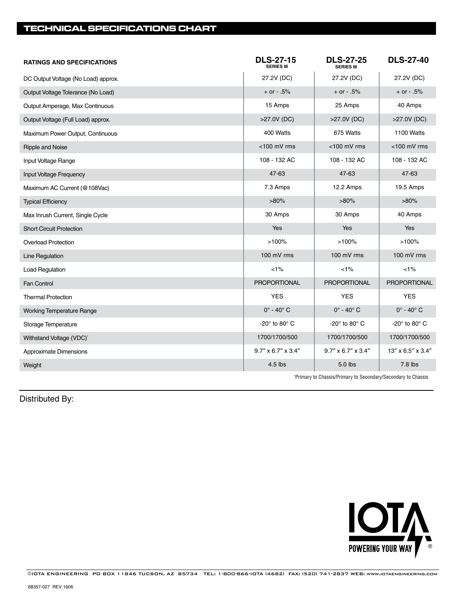#### **TECHNICAL SPECIFICATIONS CHART**

| <b>RATINGS AND SPECIFICATIONS</b>   | <b>DLS-27-15</b><br>SERIES M | <b>DLS-27-25</b><br><b>SERIES M</b> | <b>DLS-27-40</b>          |
|-------------------------------------|------------------------------|-------------------------------------|---------------------------|
| DC Output Voltage (No Load) approx. | 27.2V (DC)                   | 27.2V (DC)                          | 27.2V (DC)                |
| Output Voltage Tolerance (No Load)  | $+$ or $- .5%$               | $+$ or $- .5%$                      | $+$ or $-0.5%$            |
| Output Amperage, Max Continuous     | 15 Amps                      | 25 Amps                             | 40 Amps                   |
| Output Voltage (Full Load) approx.  | >27.0V (DC)                  | >27.0V (DC)                         | >27.0V (DC)               |
| Maximum Power Output, Continuous    | 400 Watts                    | 675 Watts                           | 1100 Watts                |
| Ripple and Noise                    | <100 mV rms                  | <100 mV rms                         | <100 mV rms               |
| Input Voltage Range                 | 108 - 132 AC                 | 108 - 132 AC                        | 108 - 132 AC              |
| Input Voltage Frequency             | 47-63                        | 47-63                               | 47-63                     |
| Maximum AC Current (@108Vac)        | 7.3 Amps                     | 12.2 Amps                           | 19.5 Amps                 |
| <b>Typical Efficiency</b>           | $>80\%$                      | $>80\%$                             | $>80\%$                   |
| Max Inrush Current, Single Cycle    | 30 Amps                      | 30 Amps                             | 40 Amps                   |
| <b>Short Circuit Protection</b>     | Yes                          | Yes                                 | Yes                       |
| <b>Overload Protection</b>          | >100%                        | >100%                               | >100%                     |
| Line Regulation                     | 100 mV rms                   | 100 mV rms                          | 100 mV rms                |
| <b>Load Regulation</b>              | $< 1\%$                      | $< 1\%$                             | $< 1\%$                   |
| Fan Control                         | <b>PROPORTIONAL</b>          | PROPORTIONAL                        | PROPORTIONAL              |
| <b>Thermal Protection</b>           | <b>YES</b>                   | <b>YES</b>                          | <b>YES</b>                |
| <b>Working Temperature Range</b>    | $0^\circ$ - 40 $^\circ$ C    | $0^\circ$ - 40 $^\circ$ C           | $0^\circ$ - 40 $^\circ$ C |
| Storage Temperature                 | -20° to 80° C                | -20 $^{\circ}$ to 80 $^{\circ}$ C   | -20° to 80° C             |
| Withstand Voltage (VDC)*            | 1700/1700/500                | 1700/1700/500                       | 1700/1700/500             |
| Approximate Dimensions              | $9.7''$ x 6.7" x 3.4"        | 9.7" x 6.7" x 3.4"                  | 13" x 6.5" x 3.4"         |
| Weight                              | 4.5 lbs                      | 5.0 lbs                             | 7.8 lbs                   |

\* Primary to Chassis/Primary to Secondary/Secondary to Chassis

Distributed By: